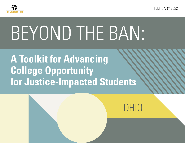

FEBRUARY 2022

# BEYOND THE BAN:

**A Toolkit for Advancing College Opportunity for Justice-Impacted Students**

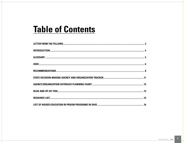### **Table of Contents**

| LIST OF HIGHER FDUCATION IN PRISON PROGRAMS IN OHIO<br>$\frac{1}{2}$ |  |
|----------------------------------------------------------------------|--|

 $\overline{2}$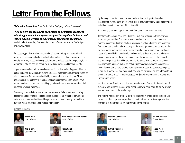### <span id="page-2-0"></span>**Letter From the Fellows**

*"Education is freedom."* — Paulo Freire, *Pedagogy of the Oppressed*

*"As a society, our decision to heap shame and contempt upon those who struggle and fail in a system designed to keep them locked up and locked out says far more about ourselves than it does about them."*

 — Michelle Alexander, *The New Jim Crow: Mass Incarceration in the Age of Colorblindness*

For decades, political leaders have used their power to keep incarcerated and formerly incarcerated individuals locked out of higher education. They've imposed morally bankrupt, freedom-denying policies and practices, despite the proven, longterm returns of a college education for individuals like us, and broader society.

Higher education institutions have been complicit in the denial of opportunities for justice-impacted individuals. By cutting off access to scholarships, refusing to reduce prison sentences for those enrolled in higher education, and making it difficult and expensive for colleges to run prison education programs, state officials have turned their backs on our parents, siblings, and cousins who yearn to continue their education while on the inside.

By denying previously incarcerated persons access to federal food and housing assistance and allowing colleges to screen out applicants with prior convictions, state officials have stacked the odds against us and made it nearly impossible to pursue a higher education upon release from prison.

By throwing up barriers to employment and election participation based on incarceration history, state officials have all but assured that previously incarcerated individuals remain locked out of full citizenship.

This must change. Our hope is that the information in this toolkit can help.

Together with colleagues at The Education Trust, and with support from partners in the field, we've identified several unjust barriers that keep incarcerated and formerly incarcerated individuals from accessing a higher education and benefiting from it and participating fully in society. While we've gathered detailed information for eight states, we are calling on elected officials — governors, state legislators, heads of statewide higher education and corrections departments, and others to immediately remove these barriers wherever they exist and enact more civil and humane policies that will make it easier for students who are, or have been, incarcerated to pursue a higher education. Congressional delegates can also use their influence at the state level to make a positive impact. For advocates engaged in this work, we've included tools, such as an op-ed writing guide and a template for creating a "power map" in each state (see our State Decision-Making Agency and Organization Tracker).

We deserve our freedom. We deserve an education. And so do the millions of currently and formerly incarcerated Americans who have been failed by broken systems and poor public leadership.

The federal restoration of Pell Grants for students in prison gives us hope. Let us build on that hope and expand our collective freedom by tearing down the barriers to a higher education that remain in the states.

**JUSTICE FELLOWS**



**Omari Amili**  *Justice Fellow*



**Alexa Garza** *Justice Fellow*



**Mary Enoch Elizabeth Baxter**  *Justice Fellow*





**Montrell Carmouche** *Justice Fellow*





**William Freeman** *Justice Fellow*



*Justice Fellow*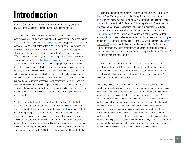### <span id="page-3-0"></span>**Introduction**

BY Kayla C. Elliott, Ph.D., Director of Higher Education Policy, and Satra Taylor, Former Manager of Higher Education Justice Initiatives

The United States has the world's [largest](https://www.prisonstudies.org/sites/default/files/resources/downloads/wppl_12.pdf) prison system. While the U.S. constitutes only 5% of the global population, it has more than 20% of the world's prison population — with nearly  $2.3$  million people in jails, prisons, and detention centers, according to estimates by the Prison Policy Initiative. This extreme rate of incarceration is particularly troubling, given that [over two-thirds](https://www.bjs.gov/index.cfm?ty=pbdetail&iid=6266) of people who are released from prison are rearrested within three years and more than [75%](https://www.bjs.gov/index.cfm?ty=pbdetail&iid=6266) are rearrested within six years. We have long had a mass incarceration problem marked by vast [racial and gender disparities.](https://www.bjs.gov/content/pub/pdf/p17.pdf) Due to a combination of factors, including systemic injustice, housing segregation, exposure to crime and violence, under-resourced schools, over-criminalization, bias in the criminal justice system, harsh school discipline and criminal sentencing policies, and a lack of economic opportunities, Black and Latino people and individuals from low-income backgrounds are vastly [overrepresented](https://s3.amazonaws.com/newamericadotorg/documents/EPP_Pell_Ban-6_pager_FINAL-_web.pdf) in U.S. prisons and suffer disproportionately from the consequences of incarceration, as a 2020 analysis by New America notes. These consequences include limited educational and employment opportunities, voter disenfranchisement, and ineligibility for housing and public benefits, all of which contribute to distressingly high stress and recidivism rates.

A 2018 study by the Rand Corporation found that individuals who had participated in correctional education programs were 28% less likely to return to custody. These programs were also [associated](https://storage.googleapis.com/vera-web-assets/downloads/Publications/postsecondary-education-in-prison-fact-sheet-for-correction-leaders/legacy_downloads/postsecondary-education-in-prisonfactsheet-for-corrections-leaders.pdf) with fewer violent incidents in participating prisons, the Vera Institute of Justice noted. Correctional education programs are an essential strategy for breaking the cycles of incarceration and poverty and helping formerly incarcerated individuals to reintegrate into society. Higher education in prison programs provide a net savings to taxpayers and are significantly more cost-efficient than incarceration. After the 1994 Crime Bill removed Pell Grant eligibility

for incarcerated people, the number of higher education in prison programs dropped from 800 programs in nearly 1,300 prisons in the early 1990s to [only 12](http://www.ncsl.org/Portals/1/Documents/educ/Postsecondary-Programs-in-Prisons_v02.pdf) by the year 2005, according to a 2019 paper on postsecondary prison programs by the National Conference of State Legislatures. After more than two decades, Congress has restored Pell Grant eligibility for individuals who are currently incarcerated. At this moment, people on both sides of the [political aisle](https://www.schatz.senate.gov/news/press-releases/schatz-lee-durbin-introduce-bipartisan-legislation-to-restore-educational-opportunities-for-those-incarcerated-and-improve-public-safety) agree that higher education is a better investment than incarceration and have coalesced around expanding access to a quality higher education for incarcerated individuals. In the 2022-2023 academic year, [more](https://www.vera.org/blog/incarcerated-students-will-have-access-to-pell-grants-again-what-happens-now)  [than 400,000](https://www.vera.org/blog/incarcerated-students-will-have-access-to-pell-grants-again-what-happens-now) incarcerated individuals will become eligible for Pell Grants, the Vera Institute of Justice estimates. Whether by intention or oversight, too many state policies erect barriers for justice impacted students instead of fostering access and affordability.

Led by the inaugural cohort of the Justice Fellows Policy Program, The Education Trust analyzed state support of currently and formerly incarcerated students in eight states where Ed Trust works in coalition with local higher education and justice advocates — California, Illinois, Louisiana, New York, Michigan, Ohio, Tennessee, and Texas.

To be clear, Pell restoration is just the first piece in what should be a broader plan to improve college access and success for students impacted by the criminal legal system. These students often lack access to the internet and to financial information needed to complete the FAFSA and qualify for Pell Grants. As barriers to federal financial aid are lifted, state legislators and higher education leaders must follow suit in removing barriers to enrollment and state financial aid. Policymakers can and should provide individual incentives to currently incarcerated students through sentence-reduction credits, and target funding toward institutions that proactively enroll and support incarcerated students. State leaders should also consider putting policies into place to help students obtain identification, employment, housing and other basic needs, as well as cover tuition and protect their voting rights, which would go a long way toward improving students' overall success and livelihoods beyond the college campus.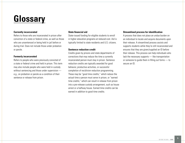### <span id="page-4-0"></span>**Glossary**

#### **Currently incarcerated**

Refers to those who are incarcerated in prison after conviction of a state or federal crime, as well as those who are unsentenced or being held in jail before or during trial. Does not include those under probation or parole.

#### **Formerly incarcerated**

Refers to people who were previously convicted of a state or federal crime and held in prison. This term may also include people who were held in custody without sentencing and those under supervision e.g., on probation or parole as a condition of their sentence or release from prison.

#### **State financial aid**

State-issued funding for eligible students to enroll in higher education programs at reduced cost. Aid is typically limited to state residents and U.S. citizens.

#### **Sentence reduction credit**

Credits given by prisons and state departments of corrections that may reduce the time a currently incarcerated person must stay in prison. Sentence reduction credits are typically awarded for good behavior, productive activities, or successful completion of recidivism reduction programming. These may be "good time credits," which reduce the actual time a person must serve in prison, or "earned time credits," which can result in release from prison into a pre-release custody arrangement, such as house arrest or a halfway house. Earned time credits can be earned in addition to good time credits.

#### **Streamlined process for identification**

A process that does not place an undue burden on an individual to locate and acquire documents upon their release. A streamlined process assists and supports students while they're still incarcerated and ensures that they are given/supplied an ID before their release. This process can help individuals who lack the necessary supports — like transportation or someone to guide them in filling out forms — to secure an ID.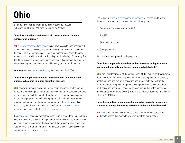### <span id="page-5-0"></span>**Ohio**

BY Satra Taylor, Former Manager for Higher Education Justice Initiatives, and Brittani Williams, Senior Policy Analyst

#### **Does the state offer state financial aid to currently and formerly incarcerated students?**

**NO,** [currently incarcerated individuals](https://csgjusticecenter.org/wp-content/uploads/2020/03/Ohio_Laying-the-Groundwork.pdf;   https:/www.vera.org/downloads/publications/a-piece-of-the-puzzle-appendix.pdf) do not have access to state financial aid. An individual who is convicted of a crime, pleads guilty to one, or is declared a delinquent child for certain crimes is ineligible to receive any student financial assistance supported by state funds (including the Ohio College Opportunity Grant [OCOG], which is the largest state-funded financial aid program in the state) at an institution of higher education for two additional years after their release.

#### **However**, once [students are released](https://www.vera.org/downloads/publications/a-piece-of-the-puzzle-appendix.pdf), they may apply for OCOG.

#### **Does the state provide sentence reduction credit to incarcerated students who enroll in higher education courses?**

**YES,** however, there are many stipulations about how many credits can be earned and who is eligible to earn them based on length of sentence and type of conviction. For each full month of productive participation in an academic or vocational program; prison industry program, alcohol and drug treatment program, unit management program, or mental health program specifically approved by the director, any individual confined in a [state correctional](https://codes.ohio.gov/ohio-administrative-code/rule-5120-2-06)  [institution](https://codes.ohio.gov/ohio-administrative-code/rule-5120-2-06) may earn credit that reduces their sentence.

If an [individual](https://codes.ohio.gov/ohio-administrative-code/rule-5120-2-06) is serving a mandatory prison term, a prison term imposed for a violent offense, or a prison term imposed for a sexually oriented offense, they may earn a one-time credit of 90 days toward their prison term or a one-time 10% reduction of their prison term — whichever is less — upon successful completion of an approved program.

The following [types of programs may be approved](https://codes.ohio.gov/ohio-administrative-code/rule-5120-2-06) for earned credit by the director as academic or vocational educational programs:

**(1)** Adult basic literacy education (A.B.L.E.)

**(2)** Pre-GED

**(3)** GED and high school

**(4)** College programs

**(5)** Vocational and apprenticeship programs

#### **Does the state provide incentives and resources to colleges to enroll and support currently and formerly incarcerated students?**

**YES,** the Ohio Department of Higher Education (ODHE) Aspire Adult Workforce Readiness Education accepts applications from eligible providers to develop, implement, and improve adult education and literacy activities within the state, to operate programs that provide a comprehensive service model for adult education and literacy services. This work is funded by the Workforce Innovation Opportunity Act (WIOA), Title II, and the Adult Education and Family Literacy Act [\(AEFLA\)](https://www.ohiohighered.org/sites/default/files/uploads/aspire/Aspire-RFP-Guidance_jan2021.pdf).

#### **Does the state have a streamlined process for currently incarcerated students to access documents to retrieve their state identification?**

**NO,** [Ohio](https://drc.ohio.gov/Portals/0/Policies/DRC Policies/78-REL-02 (9-3-19).pdf?ver=2019-09-06-093505-187) does not have a streamlined process for currently incarcerated students to access documents to retrieve their state identification.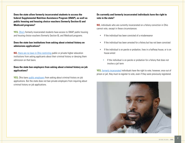**Does the state allow formerly incarcerated students to access the federal Supplemental Nutrition Assistance Program (SNAP), as well as public housing and housing choice vouchers (formerly Section 8) and Medicaid programs?** 

**YES,** [Ohio's](https://www.clasp.org/publications/report/brief/no-more-double-punishments) formerly incarcerated students have access to SNAP, public housing and housing choice vouchers (formerly Section 8), and Medicaid programs.

#### **Does the state ban institutions from asking about criminal history on admissions applications?**

**NO,** [there are no laws in Ohio restricting](https://www.lac.org/assets/files/Ohio-SAMHSA-Synthesis-Final-FORMATTED.pdf) public or private higher education institutions from asking applicants about their criminal history or denying them admission on that basis.

#### **Does the state ban employers from asking about criminal history on job applications?**

**YES,** Ohio bans *public employers* from asking about criminal history on job applications. But the state does not ban private employers from inquiring about criminal history on job applications.

#### **Do currently and formerly incarcerated individuals have the right to vote in the state?**

**NO,** individuals who are currently incarcerated on a felony conviction in Ohio cannot vote, except in these circumstances:

- **•** If the individual has been convicted of a misdemeanor
- **•** If the individual has been arrested for a felony but has not been convicted
- **•** If the individual is on parole or probation, lives in a halfway house, or is on house arrest
	- **•** If the individual is on parole or probation for a felony that does not involve a jail term

**YES**, [formerly incarcerated](https://www.acluohio.org/en/publications/voting-jail-organizers-toolkit) individuals have the right to vote; however, once out of prison or jail, they must re-register to vote, even if they were previously registered.

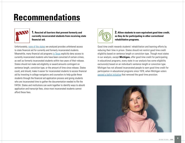### <span id="page-7-0"></span>**Recommendations**



**1. Rescind all barriers that prevent formerly and currently incarcerated students from receiving state financial aid.** 

Unfortunately, [none of the states](https://www.vera.org/downloads/publications/a-piece-of-the-puzzle-appendix.pdf) we analyzed provides unfettered access to state financial aid for currently and formerly incarcerated students. Meanwhile, many financial aid programs [in Texas](https://www.vera.org/downloads/publications/a-piece-of-the-puzzle-appendix.pdf) explicitly deny access to currently incarcerated students who have been convicted of certain crimes, as well as formerly incarcerated students within two years of their release. States should not make aid eligibility or award amounts contingent on sentence length, conviction type, or the amount of time since release. States could, and should, make it easier for incarcerated students to access financial aid by investing in college navigators and counselors to help guide these students through the financial aid application process and giving students who are incarcerated time to gather the documentation needed to file the FAFSA. States and institutions can work together to identify ways to absorb application and transcript fees, since most incarcerated students cannot afford these fees.



**2. Allow students to earn equivalent good time credit, as they do for participating in other correctional rehabilitative programs.** 

Good time credit rewards students' rehabilitation and learning efforts by reducing their time in prison. States should not restrict good time credit eligibility based on sentence length or conviction type. Though most states in our analysis, except **Michigan,** offer good time credit for participating in educational programs, every state in our analysis has some eligibility exclusion(s) based on an individual's sentence length or conviction type. Michigan has not allowed incarcerated people to earn good time credit for participation in educational programs since 1978, when Michigan voters [passed a ballot initiative](http://mjpa.umich.edu/2020/06/22/implementing-a-good-time-system-in-michigans-prisons-would-fight-mass-incarceration/) that removed the good time provision.

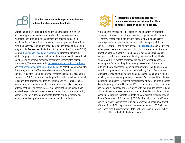

#### **3. Provide resources and supports to institutions that enroll justice-impacted students.**

States should provide robust funding for higher education in prison and reentry programs and ensure collaboration between education, workforce, and criminal justice agencies and stakeholders. This not only incentivizes institutions to provide access but provides institutions with the necessary funding and capacity to support these students and programs. **In Tennessee**, the Office of Criminal Justice Programs (OCJP) created [the Evidence-Based Jail Programming](https://www.tn.gov/finance/news/2021/5/24/grants-available-for-jails-as-part-of--re-entry-success-act-of-2021--.html) project to provide \$5 million for programs proven to reduce recidivism rates and increase local collaboration to improve outcomes for formerly incarcerated persons. Additionally, Tennessee created a [post-secondary education coordinator](https://www.tn.gov/content/dam/tn/hr/documents/7.31.2019 Post-Sec Ed Coord.pdf) and [post-secondary education program liaison](https://www.tn.gov/content/dam/tn/hr/documents/7.31.2019 Post-Sec Educ Lia Prog Sup Coord - Education.pdf) to establish and administer these programs for the Tennessee Department of Correction. States can offer subsidies to help ensure that program costs do not exceed the value of the Pell Grant or other funding the institution may have received to support that program, and that no tuition, debt, or other charges are passed on to enrolled students in the form of out-of-pocket payments or loans that must be repaid. State-level coordination and support can also facilitate students' future career and educational goals by fostering accreditation, articulation agreements, transferability of credits, and admission and comprehensive support services for students.



**4. Implement a streamlined process for incarcerated students to retrieve their birth certificate, state ID, and driver's license.** 

A streamlined process does not place an undue burden on students coming out of prison, but rather assists and supports them in preparing for reentry. States should not assume that an individual has access to transportation and/or family support to help them get their birth certificate, state ID, and driver's license. **[In Tennessee](https://www.tn.gov/content/dam/tn/correction/documents/502-04OffenderHandbook.pdf)**, each facility has a designated reentry team — consisting of a counselor, an institutional probation parole officer (IPPO), and a career development specialist — to assist individuals in reentry planning. Incarcerated individuals who are within 24 months of release are eligible for reentry services, including the following: help in obtaining a state identification and birth certificate; assistance in applying for benefits, including veterans' benefits, supplemental security income, disability, Social Security, and Medicare or Medicaid; residency planning assistance and help in finding housing; and employment planning assistance. By contrast, Illinois lacked a streamlined process for currently incarcerated students to obtain a state ID until recently; prior to November 2021, currently incarcerated students had to go to a Secretary of State's office with required documents in hand within 30 days of release in order to receive a free ID card. Illinois is now expanding a program that lets students who are currently incarcerated in Illinois Department of Corrections (IDOC) facilities obtain a state ID at no charge. Currently incarcerated individuals work with Illinois Department of Corrections (IDOC) to gather their required documents. IDOC will then coordinate with the Secretary of State's office to issue a state ID, which will be provided to the individual upon release.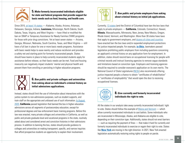

**5. Make formerly incarcerated individuals eligible for state and federal programs that provide support for basic needs such as food, housing, and health care.**

Since 2015, [at least 14 states](https://www.clasp.org/publications/report/brief/no-more-double-punishments) — Alabama, Alaska, Arizona, Arkansas, Delaware, Georgia, Indiana, **Louisiana,** Mississippi, North Dakota, South Dakota, Texas, Virginia, and West Virginia — have lifted or modified the ban on SNAP or Temporary Assistance for Needy Families (TANF) programs for those with prior drug convictions. Yet at least seven states — Arizona, Georgia, Missouri, Nebraska, South Carolina, Texas, and West Virginia — still have a full ban in place for one or more basic needs programs. Assistance with basic needs helps to ease reentry and reduce recidivism and provides a safety net and starting point for formerly incarcerated people. States should have teams in place to help currently incarcerated students apply for assistance before release, so their basic needs can be met. Food and housing insecurity can negatively impact students' mental and physical health and prevent them from enrolling or persisting in higher education programs.



#### **6. Ban public and private colleges and universities from asking about an individual's criminal history on initial admissions applications.**

Instead, states should limit the use of information about interactions with the justice system to non-admissions purposes, such as student supports, and train staff on the appropriate and unbiased use of such information. [In August](https://rootandrebound.medium.com/celebrating-banning-the-box-in-higher-education-in-california-e50bf01e0f06)  [2020,](https://rootandrebound.medium.com/celebrating-banning-the-box-in-higher-education-in-california-e50bf01e0f06) **California** passed legislation that banned the box in higher education admissions across all segments of postsecondary education, except for professional degrees and law enforcement basic training programs. Before this law was enacted, many private colleges and universities in California, as well as public and private graduate-level and vocational programs in the state, routinely asked about and considered arrest and conviction histories in their admissions process. In addition to banning the box, states should provide guidance to colleges and universities on making transparent, specific, and narrow inquiries that afford prospective students an opportunity to explain their involvement.



#### **7. Ban public and private employers from asking about criminal history on initial job applications.**

Currently, [13 states](https://www.nolo.com/legal-encyclopedia/what-is-a-ban-the-box-law.html) (and the District of Columbia) have ban the box laws that apply to private employers — **California**, Colorado, Connecticut, Hawaii, **Illinois**, Massachusetts, Minnesota, New Jersey, New Mexico, Oregon, Rhode Island, Vermont, and Washington. More than 30 states have laws that apply to government employers, and [dozens of cities and counties](https://www.govdocs.com/ban-the-box-updates-and-state-laws/) have enacted ban the box laws and/or expanded employment protections for justice-impacted people. For example, **[in Ohio](https://www.acluohio.org/en/legislation/hb-56-fair-hiring-act-2015-2016)**, lawmakers passed legislation prohibiting public employers from including questions concerning an applicant's criminal history on any application form for employment. In addition, states should rescind bans on occupational licensing for people with criminal records and instruct licensing agencies to remove vague standards and limitations based on conviction type. Employers and licensing agencies should be required to consider everyone's application on its own merits. The National Council of State Legislatures ([NCSL\)](https://www.ncsl.org/Portals/1/Documents/Labor/Licensing/criminalRecords_v06_web.pdf) also recommends offering justice-impacted people a chance to obtain "certificates of rehabilitation" or "certificates of employability" that would open the door to receiving occupational licenses.



#### **8. Give currently and formerly incarcerated individuals the right to vote.**

All the states in our analysis take away currently incarcerated individuals' right to vote. States should follow the example of [Maine and Vermont](https://www.themarshallproject.org/2019/06/11/in-just-two-states-all-prisoners-can-vote-here-s-why-few-do) — which allow currently incarcerated individuals to cast ballots. Some individuals who are incarcerated in Mississippi, Alaska, and Alabama are eligible to vote, depending on their conviction type. Additionally, states should not erect barriers — such as requiring the payment of fines — that make it hard for currently and formerly incarcerated individuals to exercise or regain their right to vote. States like **[New York](https://www.nbcnews.com/politics/politics-news/new-york-passes-bill-automatically-restore-voting-rights-people-parole-n1265008)** are moving in the right direction. In 2021, New York enacted legislation automatically restoring voting rights to people on parole.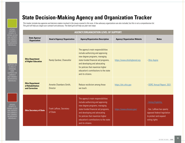### <span id="page-10-0"></span>**State Decision-Making Agency and Organization Tracker**

*This tracker includes key agencies and decision-makers involved in the issues covered in this scan. A few advocacy organizations are also included, but this is not a comprehensive list. This grid will help you target your outreach and advocacy. The blank grid will help you plan next steps.*

#### **AGENCY/ORGANIZATION LEVEL OF SUPPORT:**

|  | <b>State Agency/</b><br><b>Organization</b>                   | <b>Head of Agency/ Organization</b>        | <b>Agency/Organization Description</b>                                                                                                                                                                                                                                                | <b>Agency/ Organization Website</b> | <b>Notes</b>                                                                                                              |
|--|---------------------------------------------------------------|--------------------------------------------|---------------------------------------------------------------------------------------------------------------------------------------------------------------------------------------------------------------------------------------------------------------------------------------|-------------------------------------|---------------------------------------------------------------------------------------------------------------------------|
|  | <b>Ohio Department</b><br>of Higher Education                 | Randy Gardner, Chancellor                  | The agency's main responsibilities<br>include authorizing and approving<br>new degree programs, managing<br>state-funded financial aid programs,<br>and developing and advocating<br>for policies that maximize higher<br>education's contributions to the state<br>and its citizens. | https://www.ohiohighered.org        | - Ohio Aspire                                                                                                             |
|  | <b>Ohio Department</b><br>of Rehabilitation<br>and Correction | Annette Chambers-Smith,<br><b>Director</b> | Reduce recidivism among those<br>we touch.                                                                                                                                                                                                                                            | https://drc.ohio.gov                | - ODRC Annual Report, 2021                                                                                                |
|  | <b>Ohio Secretary of State</b>                                | Frank LaRose, Secretary<br>of State        | The agency's main responsibilities<br>include authorizing and approving<br>new degree programs, managing<br>state-funded financial aid programs,<br>and developing and advocating<br>for policies that maximize higher<br>education's contributions to the state<br>and its citizens. | https://www.ohiosos.gov/            | - Voting Eligibility<br>- Sec. LaRose has openly<br>opposed federal legislation<br>to protect and expand<br>voting rights |

ACTIVELY SUPPORTS EXPAND ACCESS AND SUPPORTS FOR CURRENTLY AND FORMERLY INCARCERATED INDIVIDUALS

SUPPORTS OR IS OPEN TO EXPANDING SOME SUPPORTS FOR CURRENTLY AND FORMERLY INCARCERATED INDIVIDUALS



EFFORTS TO EXPAND ACCESS AND SUPPORTS FOR CURRENTLY AND FORMERLY INCARCERATED INDIVIDUALS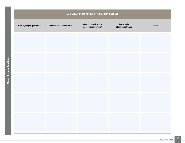<span id="page-11-0"></span>

| AGENCY/ORGANIZATION OUTREACH PLANNING |                           |                                                 |                                           |              |  |  |
|---------------------------------------|---------------------------|-------------------------------------------------|-------------------------------------------|--------------|--|--|
| <b>State Agency/ Organization</b>     | Do we have contacts here? | What is our ask of this<br>agency/organization? | <b>Next step for</b><br>planning/outreach | <b>Notes</b> |  |  |
|                                       |                           |                                                 |                                           |              |  |  |
|                                       |                           |                                                 |                                           |              |  |  |
|                                       |                           |                                                 |                                           |              |  |  |
|                                       |                           |                                                 |                                           |              |  |  |
|                                       |                           |                                                 |                                           |              |  |  |
|                                       |                           |                                                 |                                           |              |  |  |
|                                       |                           |                                                 |                                           |              |  |  |
|                                       |                           |                                                 |                                           |              |  |  |
|                                       |                           |                                                 |                                           |              |  |  |
|                                       |                           |                                                 |                                           |              |  |  |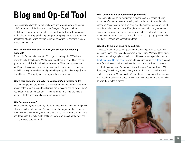# <span id="page-12-0"></span>**Blog and Op-Ed Tool**

To successfully advocate for policy changes, it's often important to bolster *public awareness* of the issues and *public support* for your position. Publishing a blog or op-ed can help. This tool from Ed Trust offers guidance on developing, writing, publishing, and promoting blogs or op-eds about the importance of eliminating barriers to higher education for students who are or were incarcerated.

#### **What's your advocacy goal? What's your strategy for reaching that goal?**

Be specific. Are you advocating for X, or Y, or something else? Who has the power to make that change? What do you need them to do, and how can you get them to do it? Starting with clear answers to "What does success look like?" and "How can we win?" will help ensure that your tactics — including publishing a blog or op-ed — are aligned with your goals and strategy. See the State Decision-Making Agency and Organization Tracker, too.

#### **Who's your audience, and what do you want** *them* **to know or do?**

Are you trying to activate allies who already agree with you, inform folks who are out of the loop, or persuade a skeptical group to come around to your side? You'll want to tailor your content — the information, the tone, the calls to action — for the specific audience you're trying to reach.

#### **What's your argument?**

Whether you're trying to activate, inform, or persuade, you can't just tell people what you think should happen. You must present an *argument* that compels them to see the issue from your perspective and act. What are the critical facts and data points that folks might not know? Why is your position the right one — and why are others wrong?

#### **What examples and anecdotes will you include?**

How can you humanize your argument with stories of real people who are negatively affected by the current policy and stand to benefit from the policy change you're advocating for? If you're a directly impacted person, you could consider sharing your own story. If not, how can you include in your piece the voices, experiences, and stories of directly impacted people? Introducing a human element early on — even in the first sentence or paragraph — can help you draw in readers and connect with them.

#### **Who should the blog or op-ed come from?**

A successful blog or op-ed isn't just about the message. It's also about the messenger. Who does the audience want to hear from? Whom will they trust? If you're the author, maybe the byline should be yours — especially if you're [directly impacted by the issue](https://www.nytimes.com/2018/10/06/opinion/sunday/aging-inmates-prisons-mandatory-sentencing.html). Maybe adding an influential [co-author](https://www.mic.com/p/prisoner-access-to-pell-grants-needs-to-be-reinstated-now-heres-why-op-ed-17982370) is a good idea. Or maybe you'd rather stay behind the scenes and write the piece on behalf of someone else. You probably know the song, "I Wanna Dance With Somebody," by Whitney Houston. Did you know that it was co-written and produced by Narada Michael Walden? Sometimes — in public affairs writing as in popular music — the person who writes the words isn't the person who delivers them to the audience.

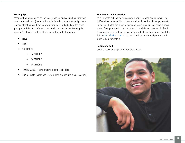#### **Writing tips.**

When writing a blog or op-ed, be clear, concise, and compelling with your words. Your lede (first) paragraph should introduce your topic and grab the reader's attention; you'll develop your argument in the body of the piece (paragraphs 2-4); then reference the lede in the conclusion, keeping the piece to 1,000 words or less. Here's an outline of that structure:

- TITLE
- LEDE
- ARGUMENT
	- EVIDENCE 1
	- EVIDENCE 2
	- EVIDENCE 3
- "TO BE SURE…" (pre-empt your potential critics)
- CONCLUSION (circle back to your lede and include a call to action)

#### **Publication and promotion.**

You'll want to publish your piece where your intended audience will find it. If you have a blog with a relevant readership, self-publishing can work. Or you could pitch the piece to someone else's blog, or to a relevant news outlet. Once published, share the piece via social media and email. Send it to reporters and let them know you're available for interviews. Email the link to [media@edtrust.org](mailto:media@edtrust.org) and share it with organizational partners and allies to help promote it.

#### **Getting started.**

Use the space on page 12 to brainstorm ideas.

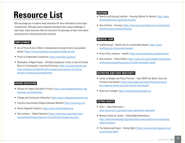# <span id="page-14-0"></span>**Resource List**

We encourage you to explore these resources for more information on the topics included here. Although justice-impacted individuals face unique challenges in each state, these resources offer an entry point for advocates to learn more about existing barriers and potential policy solutions.

#### **EMPLOYMENT**

- Out of Prison & Out of Work: Unemployment among formerly incarcerated people | <https://www.prisonpolicy.org/reports/outofwork.html>
- Prison to Employment Connection | https://prison2ec.org/facts/
- Restoration of Rights Project 50-State Comparison: Limits on Use of Criminal Record in Employment, Licensing & Housing | [https://ccresourcecenter.org/](https://ccresourcecenter.org/state-restoration-profiles/50-state-comparisoncomparison-of-criminal-records-in-licensing-and-employment/) [state-restoration-profiles/50-state-comparisoncomparison-of-criminal](https://ccresourcecenter.org/state-restoration-profiles/50-state-comparisoncomparison-of-criminal-records-in-licensing-and-employment/)  [records-in-licensing-and-employment/](https://ccresourcecenter.org/state-restoration-profiles/50-state-comparisoncomparison-of-criminal-records-in-licensing-and-employment/)

#### **HIGHER EDUCATION**

- Alliance for Higher Education in Prison | [https://www.higheredinprison.org/](https://www.higheredinprison.org/resources-and-publications) [resources-and-publications](https://www.higheredinprison.org/resources-and-publications)
- College and Community Fellowship |<https://www.collegeandcommunity.org>
- Formerly Incarcerated College Graduates Network | <http://www.ficgn.org>
- Unlock HigherEd Coalition |<https://www.unlockhighered.org>
- Vera Institute Higher Education | [https://www.vera.org/ending-mass](https://www.vera.org/ending-mass-incarceration/bringing-dignity-to-life-behind-bars/higher-education)[incarceration/bringing-dignity-to-life behind-bars/higher-education](https://www.vera.org/ending-mass-incarceration/bringing-dignity-to-life-behind-bars/higher-education)

#### **HOUSING**

- Reentry and Housing Coalition Housing Options for Reentry | [http://www.](http://www.reentryandhousing.org/private-housing) [reentryandhousing.org/private-housing](http://www.reentryandhousing.org/private-housing)
- Vera Institute Housing | [https://www.vera.org/ending-mass-incarceration/](https://www.vera.org/ending-mass-incarceration/providing-second-chances/housing) [providing-second-chances/housing](https://www.vera.org/ending-mass-incarceration/providing-second-chances/housing)

#### **MEDICAL CARE**

- Healthcare.gov Health care for incarcerated people | [https://www.](https://www.healthcare.gov/incarcerated-people/) [healthcare.gov/incarcerated-people/](https://www.healthcare.gov/incarcerated-people/)
- Prison Policy Initiative Health | <https://www.prisonpolicy.org/health.html>
- Vera Institute Public Health | [https://www.vera.org/strengthening-families](https://www.vera.org/strengthening-families-communities/expanding-access-to-health-care/public-health)[communities/expanding-access-to-health-care/public-health](https://www.vera.org/strengthening-families-communities/expanding-access-to-health-care/public-health)

#### **NUTRITION AND FOOD INSECURITY**

- Center on Budget and Policy Priorities How SNAP Can Better Serve the Formerly Incarcerated | [https://www.cbpp.org/research/food-assistance/](https://www.cbpp.org/research/food-assistance/how-snap-can-better-serve-the-formerly-incarcerated) [how-snap-can-better-serve-the-formerly-incarcerated](https://www.cbpp.org/research/food-assistance/how-snap-can-better-serve-the-formerly-incarcerated)
- Share Our Strength |<https://www.shareourstrength.org>

#### **VOTING RIGHTS**

- ACLU Voter Restoration | <https://www.aclu.org/issues/voting-rights/voter-restoration>
- Brennan Center for Justice Voting Rights Restoration | [https://www.brennancenter.org/issues/ensure-every-american-can-vote/voting](https://www.brennancenter.org/issues/ensure-every-american-can-vote/voting-rights-restoration)[rights-restoration](https://www.brennancenter.org/issues/ensure-every-american-can-vote/voting-rights-restoration)
- The Sentencing Project Voting Rights | [https://www.sentencingproject.org/](https://www.sentencingproject.org/issues/voting-rights/) [issues/voting-rights/](https://www.sentencingproject.org/issues/voting-rights/)